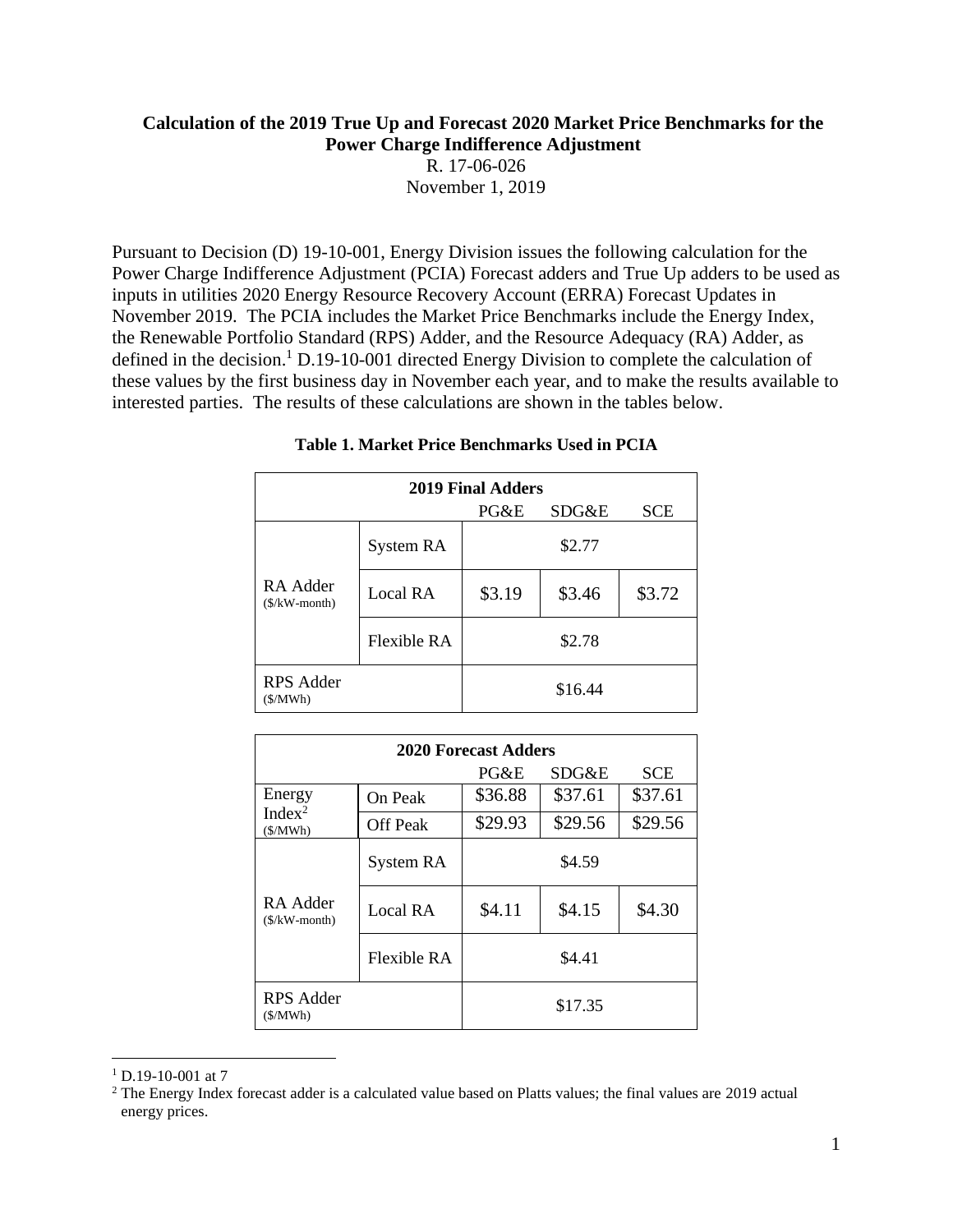#### **Calculation of the 2019 True Up and Forecast 2020 Market Price Benchmarks for the Power Charge Indifference Adjustment**

R. 17-06-026 November 1, 2019

Pursuant to Decision (D) 19-10-001, Energy Division issues the following calculation for the Power Charge Indifference Adjustment (PCIA) Forecast adders and True Up adders to be used as inputs in utilities 2020 Energy Resource Recovery Account (ERRA) Forecast Updates in November 2019. The PCIA includes the Market Price Benchmarks include the Energy Index, the Renewable Portfolio Standard (RPS) Adder, and the Resource Adequacy (RA) Adder, as defined in the decision.<sup>1</sup> D.19-10-001 directed Energy Division to complete the calculation of these values by the first business day in November each year, and to make the results available to interested parties. The results of these calculations are shown in the tables below.

| 2019 Final Adders           |                    |        |         |            |  |  |  |
|-----------------------------|--------------------|--------|---------|------------|--|--|--|
|                             |                    | PG&E   | SDG&E   | <b>SCE</b> |  |  |  |
| RA Adder<br>$($/kW$ -month) | System RA          |        | \$2.77  |            |  |  |  |
|                             | Local RA           | \$3.19 | \$3.46  | \$3.72     |  |  |  |
|                             | <b>Flexible RA</b> |        | \$2.78  |            |  |  |  |
| RPS Adder<br>(S/MWh)        |                    |        | \$16.44 |            |  |  |  |

#### **Table 1. Market Price Benchmarks Used in PCIA**

| <b>2020 Forecast Adders</b>             |                 |         |         |            |  |  |  |
|-----------------------------------------|-----------------|---------|---------|------------|--|--|--|
|                                         |                 | PG&E    | SDG&E   | <b>SCE</b> |  |  |  |
| Energy<br>Index <sup>2</sup><br>(S/MWh) | On Peak         | \$36.88 | \$37.61 | \$37.61    |  |  |  |
|                                         | <b>Off Peak</b> | \$29.93 | \$29.56 | \$29.56    |  |  |  |
| RA Adder<br>$(S/KW$ -month)             | System RA       | \$4.59  |         |            |  |  |  |
|                                         | Local RA        | \$4.11  | \$4.15  | \$4.30     |  |  |  |
|                                         | Flexible RA     | \$4.41  |         |            |  |  |  |
| RPS Adder<br>(S/MWh)                    |                 | \$17.35 |         |            |  |  |  |

 $1$  D.19-10-001 at 7

<sup>&</sup>lt;sup>2</sup> The Energy Index forecast adder is a calculated value based on Platts values; the final values are 2019 actual energy prices.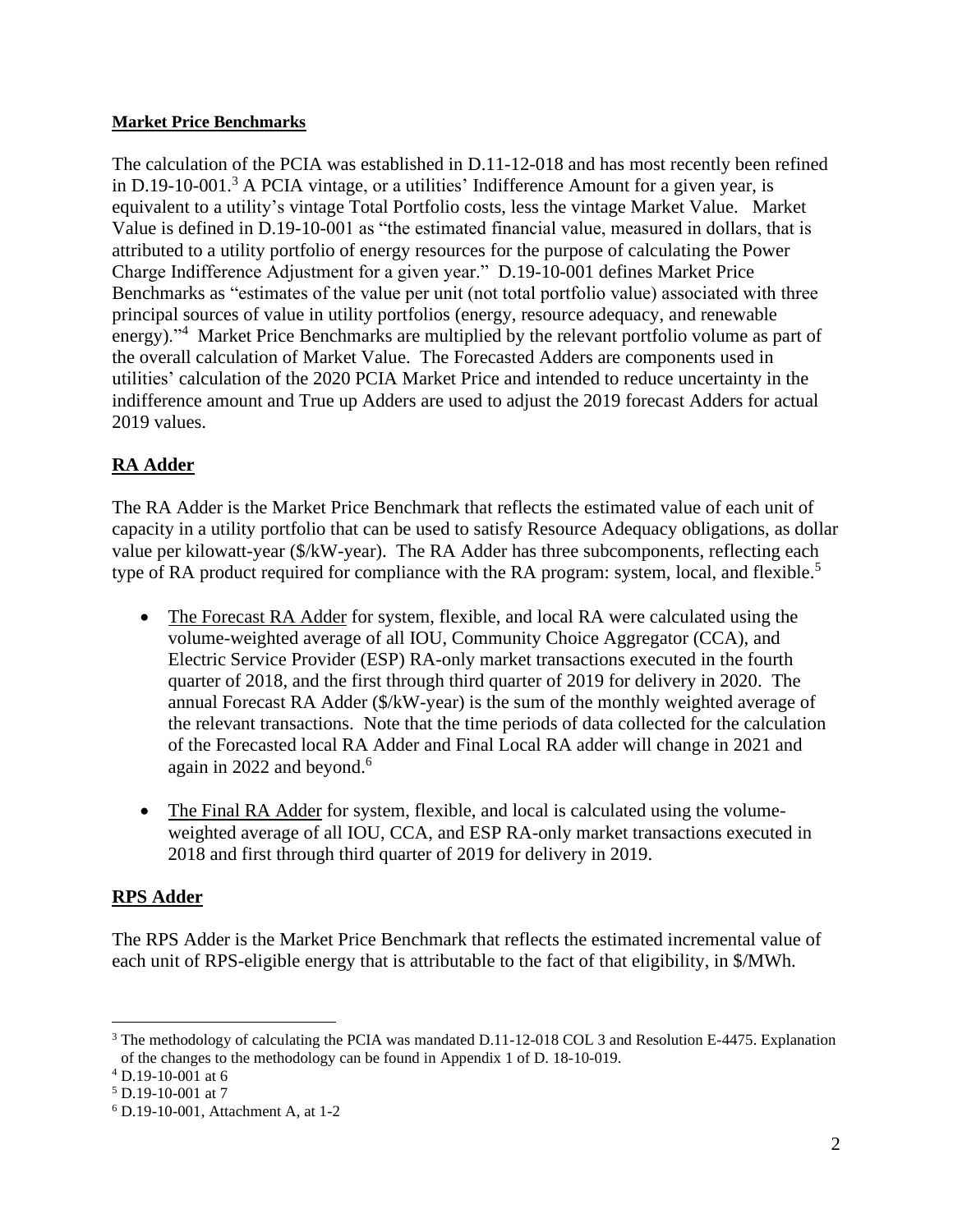#### **Market Price Benchmarks**

The calculation of the PCIA was established in D.11-12-018 and has most recently been refined in D.19-10-001.<sup>3</sup> A PCIA vintage, or a utilities' Indifference Amount for a given year, is equivalent to a utility's vintage Total Portfolio costs, less the vintage Market Value. Market Value is defined in D.19-10-001 as "the estimated financial value, measured in dollars, that is attributed to a utility portfolio of energy resources for the purpose of calculating the Power Charge Indifference Adjustment for a given year." D.19-10-001 defines Market Price Benchmarks as "estimates of the value per unit (not total portfolio value) associated with three principal sources of value in utility portfolios (energy, resource adequacy, and renewable energy)."<sup>4</sup> Market Price Benchmarks are multiplied by the relevant portfolio volume as part of the overall calculation of Market Value. The Forecasted Adders are components used in utilities' calculation of the 2020 PCIA Market Price and intended to reduce uncertainty in the indifference amount and True up Adders are used to adjust the 2019 forecast Adders for actual 2019 values.

# **RA Adder**

The RA Adder is the Market Price Benchmark that reflects the estimated value of each unit of capacity in a utility portfolio that can be used to satisfy Resource Adequacy obligations, as dollar value per kilowatt-year (\$/kW-year). The RA Adder has three subcomponents, reflecting each type of RA product required for compliance with the RA program: system, local, and flexible.<sup>5</sup>

- The Forecast RA Adder for system, flexible, and local RA were calculated using the volume-weighted average of all IOU, Community Choice Aggregator (CCA), and Electric Service Provider (ESP) RA-only market transactions executed in the fourth quarter of 2018, and the first through third quarter of 2019 for delivery in 2020. The annual Forecast RA Adder (\$/kW-year) is the sum of the monthly weighted average of the relevant transactions. Note that the time periods of data collected for the calculation of the Forecasted local RA Adder and Final Local RA adder will change in 2021 and again in 2022 and beyond.<sup>6</sup>
- The Final RA Adder for system, flexible, and local is calculated using the volumeweighted average of all IOU, CCA, and ESP RA-only market transactions executed in 2018 and first through third quarter of 2019 for delivery in 2019.

### **RPS Adder**

The RPS Adder is the Market Price Benchmark that reflects the estimated incremental value of each unit of RPS-eligible energy that is attributable to the fact of that eligibility, in \$/MWh.

<sup>&</sup>lt;sup>3</sup> The methodology of calculating the PCIA was mandated D.11-12-018 COL 3 and Resolution E-4475. Explanation of the changes to the methodology can be found in Appendix 1 of D. 18-10-019.

 $4$  D.19-10-001 at 6

 $5$  D.19-10-001 at 7

<sup>6</sup> D.19-10-001, Attachment A, at 1-2